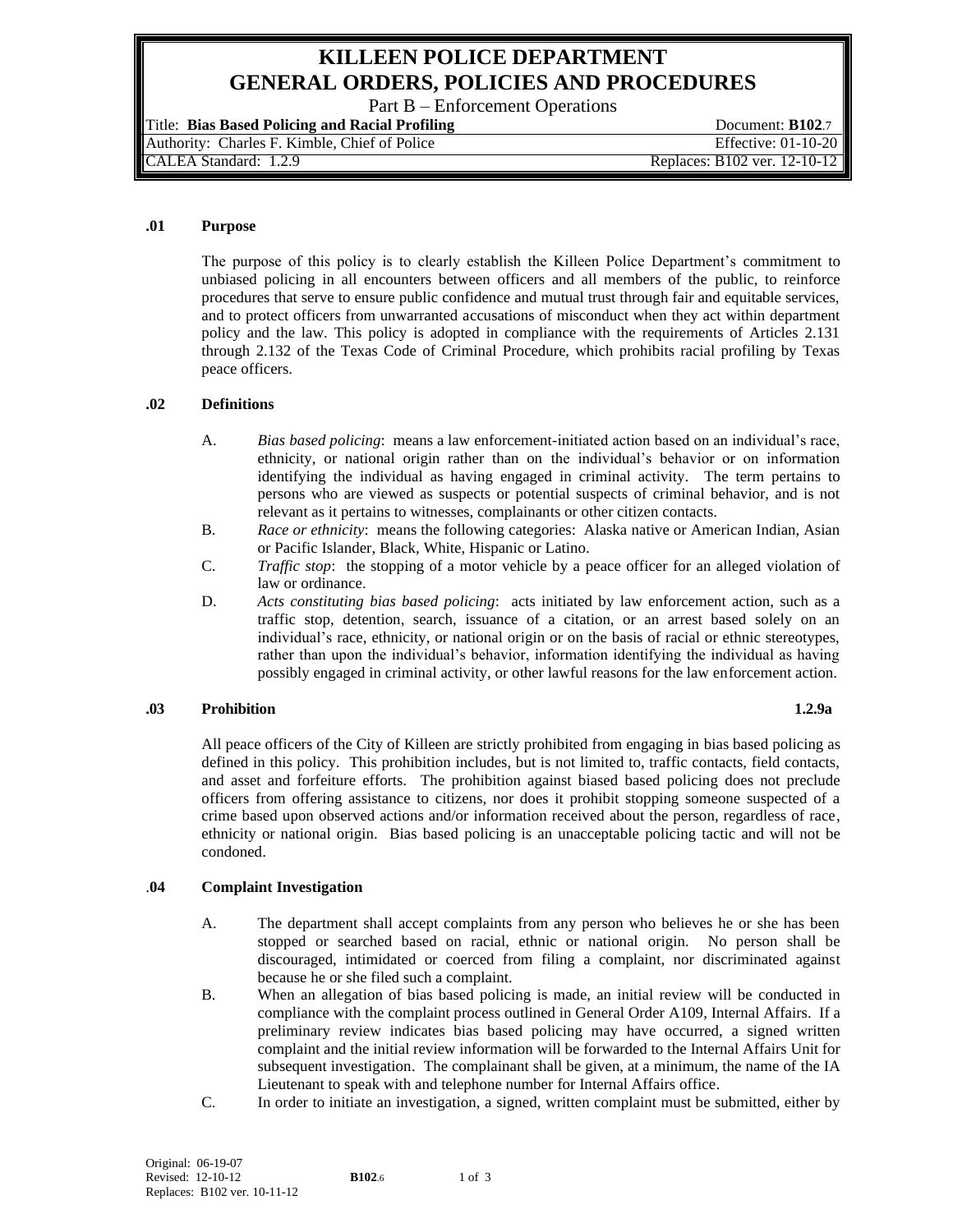# **KILLEEN POLICE DEPARTMENT GENERAL ORDERS, POLICIES AND PROCEDURES**

Part B – Enforcement Operations

Title: **Bias Based Policing and Racial Profiling** Document: **B102**.7 Authority: Charles F. Kimble, Chief of Police Effective: 01-10-20 CALEA Standard: 1.2.9 Replaces: B102 ver. 12-10-12

### **.01 Purpose**

The purpose of this policy is to clearly establish the Killeen Police Department's commitment to unbiased policing in all encounters between officers and all members of the public, to reinforce procedures that serve to ensure public confidence and mutual trust through fair and equitable services, and to protect officers from unwarranted accusations of misconduct when they act within department policy and the law. This policy is adopted in compliance with the requirements of Articles 2.131 through 2.132 of the Texas Code of Criminal Procedure, which prohibits racial profiling by Texas peace officers.

## **.02 Definitions**

- A. *Bias based policing*: means a law enforcement-initiated action based on an individual's race, ethnicity, or national origin rather than on the individual's behavior or on information identifying the individual as having engaged in criminal activity. The term pertains to persons who are viewed as suspects or potential suspects of criminal behavior, and is not relevant as it pertains to witnesses, complainants or other citizen contacts.
- B. *Race or ethnicity*: means the following categories: Alaska native or American Indian, Asian or Pacific Islander, Black, White, Hispanic or Latino.
- C. *Traffic stop*: the stopping of a motor vehicle by a peace officer for an alleged violation of law or ordinance.
- D. *Acts constituting bias based policing*: acts initiated by law enforcement action, such as a traffic stop, detention, search, issuance of a citation, or an arrest based solely on an individual's race, ethnicity, or national origin or on the basis of racial or ethnic stereotypes, rather than upon the individual's behavior, information identifying the individual as having possibly engaged in criminal activity, or other lawful reasons for the law enforcement action.

## **.03 Prohibition 1.2.9a**

All peace officers of the City of Killeen are strictly prohibited from engaging in bias based policing as defined in this policy. This prohibition includes, but is not limited to, traffic contacts, field contacts, and asset and forfeiture efforts. The prohibition against biased based policing does not preclude officers from offering assistance to citizens, nor does it prohibit stopping someone suspected of a crime based upon observed actions and/or information received about the person, regardless of race, ethnicity or national origin. Bias based policing is an unacceptable policing tactic and will not be condoned.

## .**04 Complaint Investigation**

- A. The department shall accept complaints from any person who believes he or she has been stopped or searched based on racial, ethnic or national origin. No person shall be discouraged, intimidated or coerced from filing a complaint, nor discriminated against because he or she filed such a complaint.
- B. When an allegation of bias based policing is made, an initial review will be conducted in compliance with the complaint process outlined in General Order A109, Internal Affairs. If a preliminary review indicates bias based policing may have occurred, a signed written complaint and the initial review information will be forwarded to the Internal Affairs Unit for subsequent investigation. The complainant shall be given, at a minimum, the name of the IA Lieutenant to speak with and telephone number for Internal Affairs office.
- C. In order to initiate an investigation, a signed, written complaint must be submitted, either by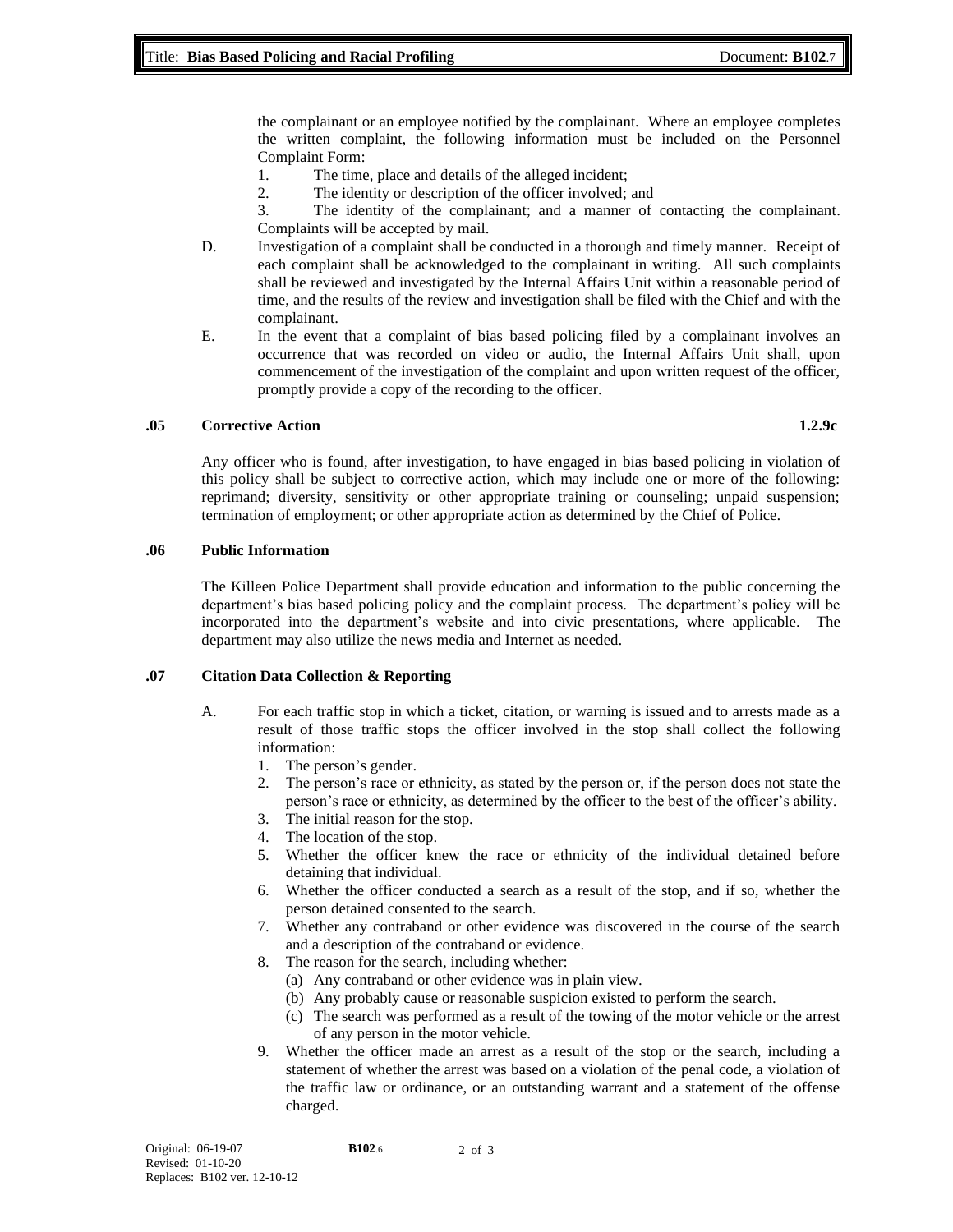the complainant or an employee notified by the complainant. Where an employee completes the written complaint, the following information must be included on the Personnel Complaint Form:

- 1. The time, place and details of the alleged incident;
- 2. The identity or description of the officer involved; and

3. The identity of the complainant; and a manner of contacting the complainant. Complaints will be accepted by mail.

- D. Investigation of a complaint shall be conducted in a thorough and timely manner. Receipt of each complaint shall be acknowledged to the complainant in writing. All such complaints shall be reviewed and investigated by the Internal Affairs Unit within a reasonable period of time, and the results of the review and investigation shall be filed with the Chief and with the complainant.
- E. In the event that a complaint of bias based policing filed by a complainant involves an occurrence that was recorded on video or audio, the Internal Affairs Unit shall, upon commencement of the investigation of the complaint and upon written request of the officer, promptly provide a copy of the recording to the officer.

## **.05 Corrective Action 1.2.9c**

Any officer who is found, after investigation, to have engaged in bias based policing in violation of this policy shall be subject to corrective action, which may include one or more of the following: reprimand; diversity, sensitivity or other appropriate training or counseling; unpaid suspension; termination of employment; or other appropriate action as determined by the Chief of Police.

## **.06 Public Information**

The Killeen Police Department shall provide education and information to the public concerning the department's bias based policing policy and the complaint process. The department's policy will be incorporated into the department's website and into civic presentations, where applicable. The department may also utilize the news media and Internet as needed.

## **.07 Citation Data Collection & Reporting**

- A. For each traffic stop in which a ticket, citation, or warning is issued and to arrests made as a result of those traffic stops the officer involved in the stop shall collect the following information:
	- 1. The person's gender.
	- 2. The person's race or ethnicity, as stated by the person or, if the person does not state the person's race or ethnicity, as determined by the officer to the best of the officer's ability.
	- 3. The initial reason for the stop.
	- 4. The location of the stop.
	- 5. Whether the officer knew the race or ethnicity of the individual detained before detaining that individual.
	- 6. Whether the officer conducted a search as a result of the stop, and if so, whether the person detained consented to the search.
	- 7. Whether any contraband or other evidence was discovered in the course of the search and a description of the contraband or evidence.
	- 8. The reason for the search, including whether:
		- (a) Any contraband or other evidence was in plain view.
		- (b) Any probably cause or reasonable suspicion existed to perform the search.
		- (c) The search was performed as a result of the towing of the motor vehicle or the arrest of any person in the motor vehicle.
	- 9. Whether the officer made an arrest as a result of the stop or the search, including a statement of whether the arrest was based on a violation of the penal code, a violation of the traffic law or ordinance, or an outstanding warrant and a statement of the offense charged.